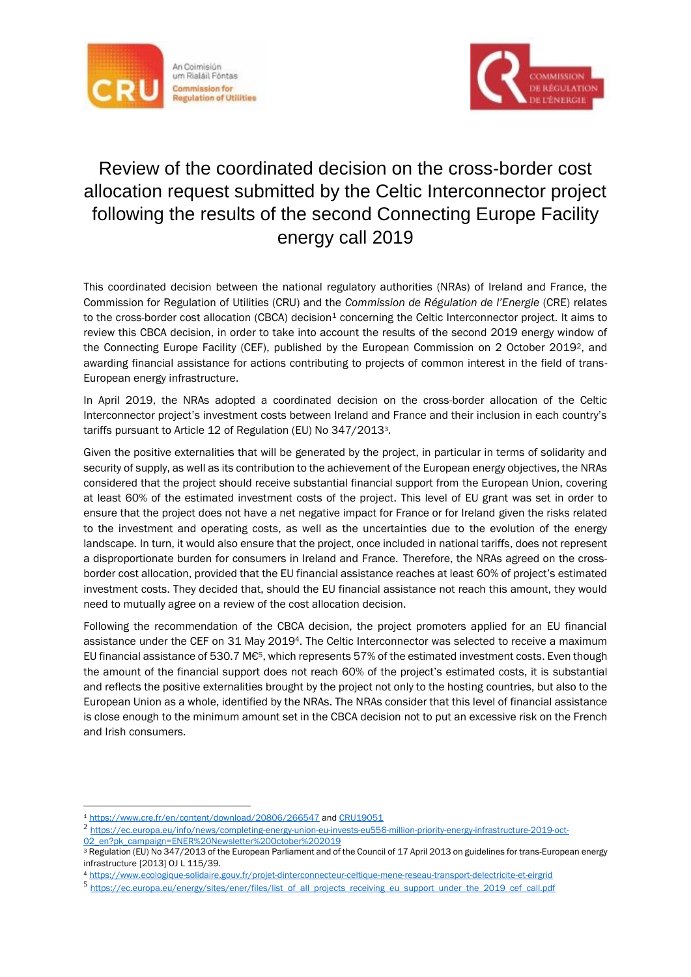



## Review of the coordinated decision on the cross-border cost allocation request submitted by the Celtic Interconnector project following the results of the second Connecting Europe Facility energy call 2019

This coordinated decision between the national regulatory authorities (NRAs) of Ireland and France, the Commission for Regulation of Utilities (CRU) and the *Commission de Régulation de l'Energie* (CRE) relates to the cross-border cost allocation (CBCA) decision<sup>1</sup> concerning the Celtic Interconnector project. It aims to review this CBCA decision, in order to take into account the results of the second 2019 energy window of the Connecting Europe Facility (CEF), published by the European Commission on 2 October 2019<sup>2</sup>, and awarding financial assistance for actions contributing to projects of common interest in the field of trans-European energy infrastructure.

In April 2019, the NRAs adopted a coordinated decision on the cross-border allocation of the Celtic Interconnector project's investment costs between Ireland and France and their inclusion in each country's tariffs pursuant to Article 12 of Regulation (EU) No 347/2013<sup>3</sup>.

Given the positive externalities that will be generated by the project, in particular in terms of solidarity and security of supply, as well as its contribution to the achievement of the European energy objectives, the NRAs considered that the project should receive substantial financial support from the European Union, covering at least 60% of the estimated investment costs of the project. This level of EU grant was set in order to ensure that the project does not have a net negative impact for France or for Ireland given the risks related to the investment and operating costs, as well as the uncertainties due to the evolution of the energy landscape. In turn, it would also ensure that the project, once included in national tariffs, does not represent a disproportionate burden for consumers in Ireland and France. Therefore, the NRAs agreed on the crossborder cost allocation, provided that the EU financial assistance reaches at least 60% of project's estimated investment costs. They decided that, should the EU financial assistance not reach this amount, they would need to mutually agree on a review of the cost allocation decision.

Following the recommendation of the CBCA decision, the project promoters applied for an EU financial assistance under the CEF on 31 May 20194. The Celtic Interconnector was selected to receive a maximum EU financial assistance of 530.7 M€5, which represents 57% of the estimated investment costs. Even though the amount of the financial support does not reach 60% of the project's estimated costs, it is substantial and reflects the positive externalities brought by the project not only to the hosting countries, but also to the European Union as a whole, identified by the NRAs. The NRAs consider that this level of financial assistance is close enough to the minimum amount set in the CBCA decision not to put an excessive risk on the French and Irish consumers.

<u>.</u>

<sup>1</sup> <https://www.cre.fr/en/content/download/20806/266547> an[d CRU19051](https://www.cru.ie/wp-content/uploads/2019/05/CRU19051-Celtic-CBCA-decision.pdf)

<sup>2</sup> [https://ec.europa.eu/info/news/completing-energy-union-eu-invests-eu556-million-priority-energy-infrastructure-2019-oct-](https://ec.europa.eu/info/news/completing-energy-union-eu-invests-eu556-million-priority-energy-infrastructure-2019-oct-02_en?pk_campaign=ENER%20Newsletter%20October%202019)[02\\_en?pk\\_campaign=ENER%20Newsletter%20October%202019](https://ec.europa.eu/info/news/completing-energy-union-eu-invests-eu556-million-priority-energy-infrastructure-2019-oct-02_en?pk_campaign=ENER%20Newsletter%20October%202019)

<sup>3</sup> Regulation (EU) No 347/2013 of the European Parliament and of the Council of 17 April 2013 on guidelines for trans-European energy infrastructure [2013] OJ L 115/39.

<sup>4</sup> <https://www.ecologique-solidaire.gouv.fr/projet-dinterconnecteur-celtique-mene-reseau-transport-delectricite-et-eirgrid>

<sup>5</sup> [https://ec.europa.eu/energy/sites/ener/files/list\\_of\\_all\\_projects\\_receiving\\_eu\\_support\\_under\\_the\\_2019\\_cef\\_call.pdf](https://ec.europa.eu/energy/sites/ener/files/list_of_all_projects_receiving_eu_support_under_the_2019_cef_call.pdf)